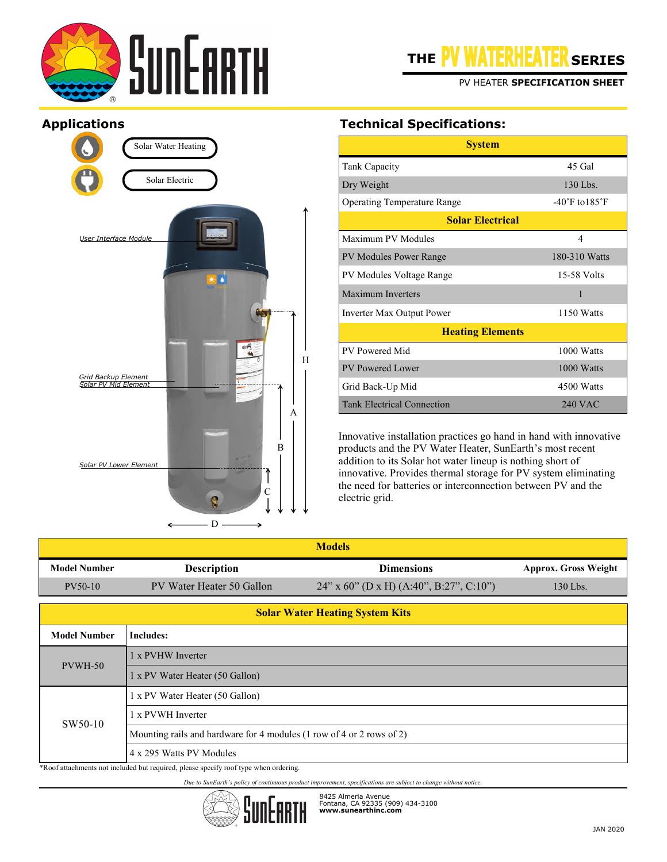

PV HEATER **SPECIFICATION SHEET**

## **Applications**



# **Technical Specifications:**

| <b>System</b>                                  |                                    |  |  |  |
|------------------------------------------------|------------------------------------|--|--|--|
| Tank Capacity                                  | 45 Gal                             |  |  |  |
| Dry Weight<br>130 Lbs.                         |                                    |  |  |  |
| <b>Operating Temperature Range</b>             | $-40^{\circ}$ F to $185^{\circ}$ F |  |  |  |
| <b>Solar Electrical</b>                        |                                    |  |  |  |
| Maximum PV Modules                             | 4                                  |  |  |  |
| 180-310 Watts<br><b>PV Modules Power Range</b> |                                    |  |  |  |
| PV Modules Voltage Range                       | 15-58 Volts                        |  |  |  |
| Maximum Inverters                              | 1                                  |  |  |  |
| 1150 Watts<br>Inverter Max Output Power        |                                    |  |  |  |
| <b>Heating Elements</b>                        |                                    |  |  |  |
| PV Powered Mid                                 | 1000 Watts                         |  |  |  |
| PV Powered Lower<br>1000 Watts                 |                                    |  |  |  |
| Grid Back-Up Mid                               | 4500 Watts                         |  |  |  |
| <b>Tank Electrical Connection</b>              | $240$ VAC                          |  |  |  |

Innovative installation practices go hand in hand with innovative products and the PV Water Heater, SunEarth's most recent addition to its Solar hot water lineup is nothing short of innovative. Provides thermal storage for PV system eliminating the need for batteries or interconnection between PV and the electric grid.

| <b>Models</b>                                                    |                                                                                                  |                                            |                             |
|------------------------------------------------------------------|--------------------------------------------------------------------------------------------------|--------------------------------------------|-----------------------------|
| <b>Model Number</b>                                              | <b>Description</b>                                                                               | <b>Dimensions</b>                          | <b>Approx. Gross Weight</b> |
| PV50-10                                                          | PV Water Heater 50 Gallon                                                                        | $24$ " x 60" (D x H) (A:40", B:27", C:10") | 130 Lbs.                    |
| <b>Solar Water Heating System Kits</b>                           |                                                                                                  |                                            |                             |
| <b>Model Number</b>                                              | <b>Includes:</b>                                                                                 |                                            |                             |
| PVWH-50                                                          | 1 x PVHW Inverter                                                                                |                                            |                             |
|                                                                  | 1 x PV Water Heater (50 Gallon)                                                                  |                                            |                             |
|                                                                  | 1 x PV Water Heater (50 Gallon)                                                                  |                                            |                             |
| SW50-10                                                          | 1 x PVWH Inverter                                                                                |                                            |                             |
|                                                                  | Mounting rails and hardware for 4 modules (1 row of 4 or 2 rows of 2)                            |                                            |                             |
| $\mathbf{a}$ $\mathbf{b}$ $\mathbf{c}$ $\mathbf{d}$ $\mathbf{d}$ | 4 x 295 Watts PV Modules<br>$\sim$<br>$\sim$ $\sim$ $\sim$ $\sim$ $\sim$<br>$\sim$ $\sim$ $\sim$ |                                            |                             |

\*Roof attachments not included but required, please specify roof type when ordering.

*Due to SunEarth's policy of continuous product improvement, specifications are subject to change without notice.*